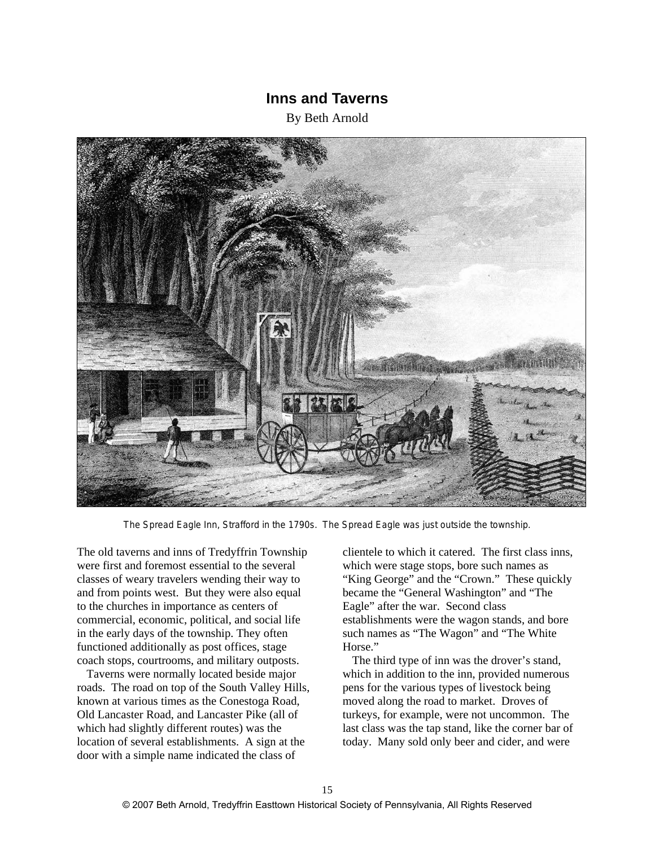# **Inns and Taverns**

By Beth Arnold



The Spread Eagle Inn, Strafford in the 1790s. The Spread Eagle was just outside the township.

The old taverns and inns of Tredyffrin Township were first and foremost essential to the several classes of weary travelers wending their way to and from points west. But they were also equal to the churches in importance as centers of commercial, economic, political, and social life in the early days of the township. They often functioned additionally as post offices, stage coach stops, courtrooms, and military outposts.

Taverns were normally located beside major roads. The road on top of the South Valley Hills, known at various times as the Conestoga Road, Old Lancaster Road, and Lancaster Pike (all of which had slightly different routes) was the location of several establishments. A sign at the door with a simple name indicated the class of

clientele to which it catered. The first class inns, which were stage stops, bore such names as "King George" and the "Crown." These quickly became the "General Washington" and "The Eagle" after the war. Second class establishments were the wagon stands, and bore such names as "The Wagon" and "The White Horse."

The third type of inn was the drover's stand, which in addition to the inn, provided numerous pens for the various types of livestock being moved along the road to market. Droves of turkeys, for example, were not uncommon. The last class was the tap stand, like the corner bar of today. Many sold only beer and cider, and were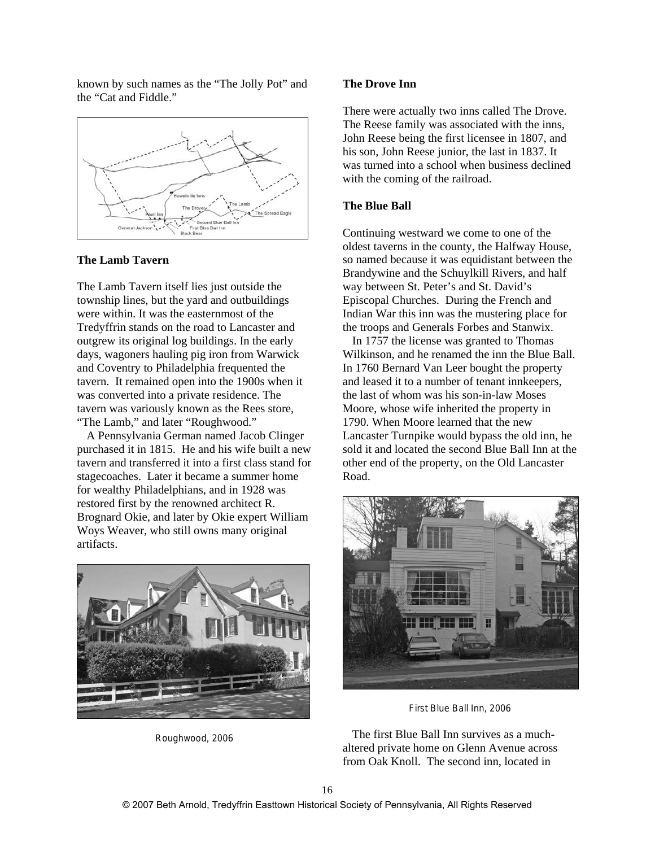known by such names as the "The Jolly Pot" and the "Cat and Fiddle."



# **The Lamb Tavern**

The Lamb Tavern itself lies just outside the township lines, but the yard and outbuildings were within. It was the easternmost of the Tredyffrin stands on the road to Lancaster and outgrew its original log buildings. In the early days, wagoners hauling pig iron from Warwick and Coventry to Philadelphia frequented the tavern. It remained open into the 1900s when it was converted into a private residence. The tavern was variously known as the Rees store, "The Lamb," and later "Roughwood."

A Pennsylvania German named Jacob Clinger purchased it in 1815. He and his wife built a new tavern and transferred it into a first class stand for stagecoaches. Later it became a summer home for wealthy Philadelphians, and in 1928 was restored first by the renowned architect R. Brognard Okie, and later by Okie expert William Woys Weaver, who still owns many original artifacts.



Roughwood, 2006

#### **The Drove Inn**

There were actually two inns called The Drove. The Reese family was associated with the inns, John Reese being the first licensee in 1807, and his son, John Reese junior, the last in 1837. It was turned into a school when business declined with the coming of the railroad.

# **The Blue Ball**

Continuing westward we come to one of the oldest taverns in the county, the Halfway House, so named because it was equidistant between the Brandywine and the Schuylkill Rivers, and half way between St. Peter's and St. David's Episcopal Churches. During the French and Indian War this inn was the mustering place for the troops and Generals Forbes and Stanwix.

In 1757 the license was granted to Thomas Wilkinson, and he renamed the inn the Blue Ball. In 1760 Bernard Van Leer bought the property and leased it to a number of tenant innkeepers, the last of whom was his son-in-law Moses Moore, whose wife inherited the property in 1790. When Moore learned that the new Lancaster Turnpike would bypass the old inn, he sold it and located the second Blue Ball Inn at the other end of the property, on the Old Lancaster Road.



First Blue Ball Inn, 2006

The first Blue Ball Inn survives as a muchaltered private home on Glenn Avenue across from Oak Knoll. The second inn, located in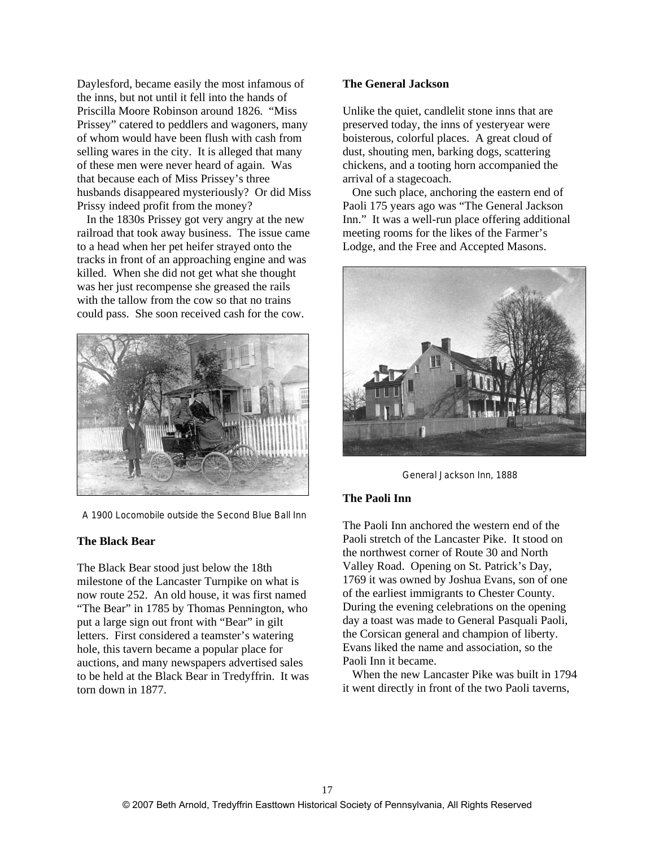Daylesford, became easily the most infamous of the inns, but not until it fell into the hands of Priscilla Moore Robinson around 1826. "Miss Prissey" catered to peddlers and wagoners, many of whom would have been flush with cash from selling wares in the city. It is alleged that many of these men were never heard of again. Was that because each of Miss Prissey's three husbands disappeared mysteriously? Or did Miss Prissy indeed profit from the money?

In the 1830s Prissey got very angry at the new railroad that took away business. The issue came to a head when her pet heifer strayed onto the tracks in front of an approaching engine and was killed. When she did not get what she thought was her just recompense she greased the rails with the tallow from the cow so that no trains could pass. She soon received cash for the cow.



A 1900 Locomobile outside the Second Blue Ball Inn

## **The Black Bear**

The Black Bear stood just below the 18th milestone of the Lancaster Turnpike on what is now route 252. An old house, it was first named "The Bear" in 1785 by Thomas Pennington, who put a large sign out front with "Bear" in gilt letters. First considered a teamster's watering hole, this tavern became a popular place for auctions, and many newspapers advertised sales to be held at the Black Bear in Tredyffrin. It was torn down in 1877.

## **The General Jackson**

Unlike the quiet, candlelit stone inns that are preserved today, the inns of yesteryear were boisterous, colorful places. A great cloud of dust, shouting men, barking dogs, scattering chickens, and a tooting horn accompanied the arrival of a stagecoach.

One such place, anchoring the eastern end of Paoli 175 years ago was "The General Jackson Inn." It was a well-run place offering additional meeting rooms for the likes of the Farmer's Lodge, and the Free and Accepted Masons.



General Jackson Inn, 1888

## **The Paoli Inn**

The Paoli Inn anchored the western end of the Paoli stretch of the Lancaster Pike. It stood on the northwest corner of Route 30 and North Valley Road. Opening on St. Patrick's Day, 1769 it was owned by Joshua Evans, son of one of the earliest immigrants to Chester County. During the evening celebrations on the opening day a toast was made to General Pasquali Paoli, the Corsican general and champion of liberty. Evans liked the name and association, so the Paoli Inn it became.

When the new Lancaster Pike was built in 1794 it went directly in front of the two Paoli taverns,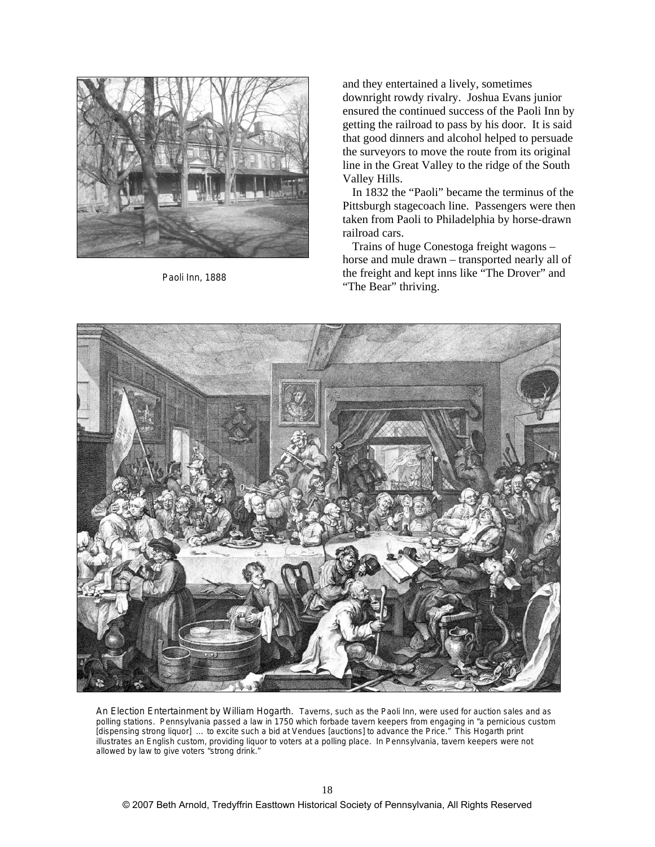

Paoli Inn, 1888

and they entertained a lively, sometimes downright rowdy rivalry. Joshua Evans junior ensured the continued success of the Paoli Inn by getting the railroad to pass by his door. It is said that good dinners and alcohol helped to persuade the surveyors to move the route from its original line in the Great Valley to the ridge of the South Valley Hills.

In 1832 the "Paoli" became the terminus of the Pittsburgh stagecoach line. Passengers were then taken from Paoli to Philadelphia by horse-drawn railroad cars.

Trains of huge Conestoga freight wagons – horse and mule drawn – transported nearly all of the freight and kept inns like "The Drover" and "The Bear" thriving.



An Election Entertainment by William Hogarth. Taverns, such as the Paoli Inn, were used for auction sales and as polling stations.Pennsylvania passed a law in 1750 which forbade tavern keepers from engaging in "a pernicious custom [dispensing strong liquor] ... to excite such a bid at Vendues [auctions] to advance the Price." This Hogarth print illustrates an English custom, providing liquor to voters at a polling place. In Pennsylvania, tavern keepers were not allowed by law to give voters "strong drink."